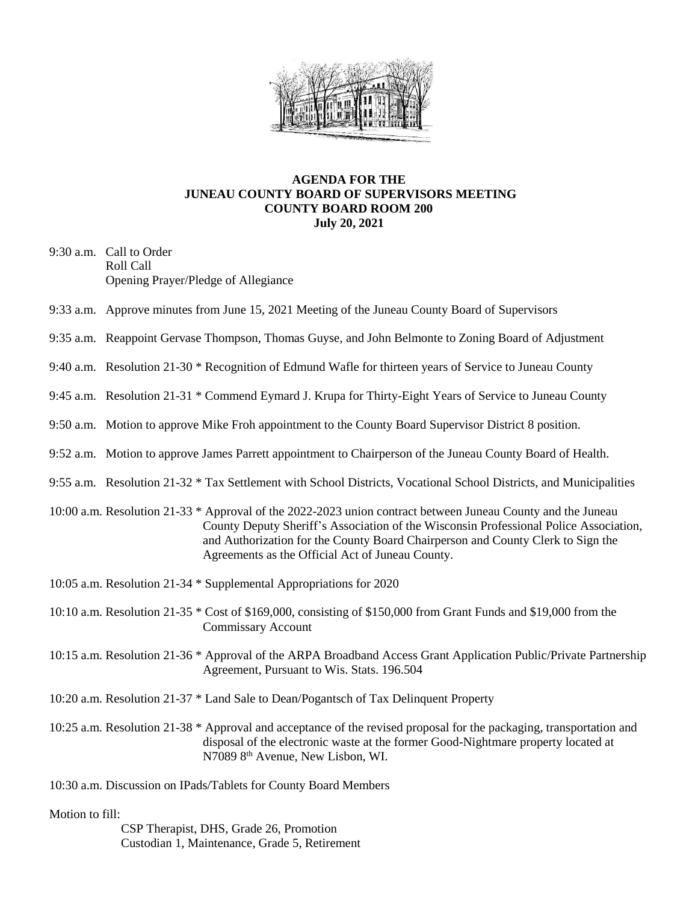

## **AGENDA FOR THE JUNEAU COUNTY BOARD OF SUPERVISORS MEETING COUNTY BOARD ROOM 200 July 20, 2021**

- 9:30 a.m. Call to Order Roll Call Opening Prayer/Pledge of Allegiance
- 9:33 a.m. Approve minutes from June 15, 2021 Meeting of the Juneau County Board of Supervisors
- 9:35 a.m. Reappoint Gervase Thompson, Thomas Guyse, and John Belmonte to Zoning Board of Adjustment
- 9:40 a.m. Resolution 21-30 \* Recognition of Edmund Wafle for thirteen years of Service to Juneau County
- 9:45 a.m. Resolution 21-31 \* Commend Eymard J. Krupa for Thirty-Eight Years of Service to Juneau County
- 9:50 a.m. Motion to approve Mike Froh appointment to the County Board Supervisor District 8 position.
- 9:52 a.m. Motion to approve James Parrett appointment to Chairperson of the Juneau County Board of Health.
- 9:55 a.m. Resolution 21-32 \* Tax Settlement with School Districts, Vocational School Districts, and Municipalities
- 10:00 a.m. Resolution 21-33 \* Approval of the 2022-2023 union contract between Juneau County and the Juneau County Deputy Sheriff's Association of the Wisconsin Professional Police Association, and Authorization for the County Board Chairperson and County Clerk to Sign the Agreements as the Official Act of Juneau County.
- 10:05 a.m. Resolution 21-34 \* Supplemental Appropriations for 2020
- 10:10 a.m. Resolution 21-35 \* Cost of \$169,000, consisting of \$150,000 from Grant Funds and \$19,000 from the Commissary Account
- 10:15 a.m. Resolution 21-36 \* Approval of the ARPA Broadband Access Grant Application Public/Private Partnership Agreement, Pursuant to Wis. Stats. 196.504
- 10:20 a.m. Resolution 21-37 \* Land Sale to Dean/Pogantsch of Tax Delinquent Property
- 10:25 a.m. Resolution 21-38 \* Approval and acceptance of the revised proposal for the packaging, transportation and disposal of the electronic waste at the former Good-Nightmare property located at N7089 8th Avenue, New Lisbon, WI.
- 10:30 a.m. Discussion on IPads/Tablets for County Board Members

## Motion to fill:

 CSP Therapist, DHS, Grade 26, Promotion Custodian 1, Maintenance, Grade 5, Retirement